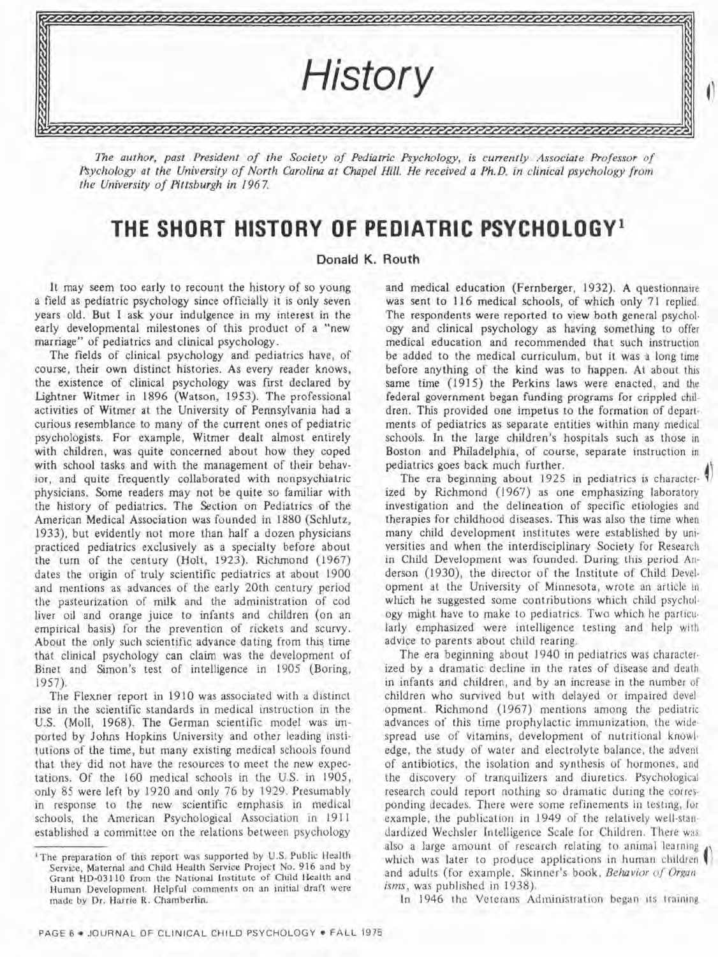

The author, past President of the Society of Pediatric Psychology, is currently Associate Professor of *Aychology at the University of North Carolina at Chapel Hill. He received a Ph.D. in clinical psychology from the Universify of A'ttsburgh in 196 7.* 

## **THE SHORT HISTORY OF PEDIATRIC PSYCHOLOGY1**

## **Donald K. Routh**

It may seem too early to recount the history of so young a field as pediatric psychology since officially it is only seven years old. But I ask your indulgence in my interest in the early developmental milestones of this product of a "new marriage" of pediatrics and clinical psychology.

The fields of clinical psychology and pediatrics have, of course, their own distinct histories. As every reader knows, the existence of clinical psychology was first declared by Lightner Witmer in 1896 (Watson, 1953). The professional activities of Witmer at the University of Pennsylvania had a curious resemblance to many of the current ones of pediatric psychologists. For example, Witmer dealt almost entirely with children, was quite concerned about how they coped with school tasks and with the management of their behavior, and quite frequently collaborated with nonpsychiatric physicians. Some readers may not be quite so familiar with the history of pediatrics. The Section on Pediatrics of the American Medical Association was founded in 1880 (Schlutz, 1933), but evidently not more than half a dozen physicians practiced pediatrics exclusively as a specialty before about the turn of the century (Holt, 1923). Richmond (1967) dates the origin of truly scientific pediatrics at about 1900 and mentions as advances of the early 20th century period the pasteurization of milk and the administration of cod liver oil and orange juice to infants and children (on an empirical basis) for the prevention of rickets and scurvy. About the only such scientific advance dating from this time that clinical psychology can claim was the development of Binet and Simon's test of intelligence in 1905 (Boring, 1957).

The Flexner report in 1910 was associated with a distinct rise in the scientific standards in medical instruction in the U.S. (Moll, 1968). The German scientific model was imported by Johns Hopkins University and other leading institutions of the time, but many existing medical schools found that they did not have the resources to meet the new expectations. Of the 160 medical schools in the U.S. in 1905, only 85 were left by 1920 and only 76 by 1929. Presumably in response to the new scientific emphasis in medical schools, the American Psychological Association in 1911 established a committee on the relations between psychology

and medical education (Fernberger, 1932). A questionnaire was sent to 116 medical schools, of which only 71 replied. The respondents were reported to view both general psychology and clinical psychology as having something to offer medical education and recommended that such instruction be added to the medical curriculum, but it was a long time before anything of the kind was to happen. At about this same **time** (1915) the Perkins laws were enacted, and the federal government began funding programs for crippled children. This provided one impetus to the formation of departments of pediatrics as separate entities within many medical schools. In the large children's hospitals such as those in Boston and Philadelphia, of course, separate instruction in pediatrics goes back much further.

The era beginning about 1925 in pediatrics is character-*I)*  ized by Richmond (1967) as one emphasizing laboratory investigation and the delineation of specific etiologies and therapies for childhood diseases. This was also the time when many child development institutes were established by universities and when the interdisciplinary Society for Research in Child Development was founded. During this period Anderson (1930), the director of the Institute of Child Devel. opment at the University of Minnesota, wrote an article in which he suggested some contributions which child psychol. ogy might have to make to pediatrics. Two which he particu. larly emphasized were intelligence testing and help with advice to parents about child rearing.

The era beginning about 1940 in pediatrics was character. ized by a dramatic decline in the rates of disease and death in infants and children, and by an increase in the number of children who survived but with delayed or impaired development. Richmond (1967) mentions among the pediatric advances of this time prophylactic immunization, the wide. spread use of vitamins, development of nutritional knowledge, the study of water and electrolyte balance, the advent of antibiotics, the isolation and synthesis of hormones, and the discovery of tranquilizers and diuretics. Psychological research could report nothing so dramatic during the corresponding decades. There were some refinements in testing, for example, the publication in 1949 of the relatively well-standardized Wechsler Intelligence Scale for Children. There was also a large amount of research relating to animal learning which was later to produce applications in human children and adults (for example, Skinner's book, *Behavior of Organ isms,* was published in 1938).

In 1946 thc Veterans Administration began its training

**<sup>&#</sup>x27;The preparation of this report was supported by U.S. Public Health Service, Maternal and Child Health Service Project No. 916 and by Grant HD-03110 from the National Institute of Child Health and Human Development. Helpful comments on an initial draft were made by Dr. Harrie R. Chamberlin.**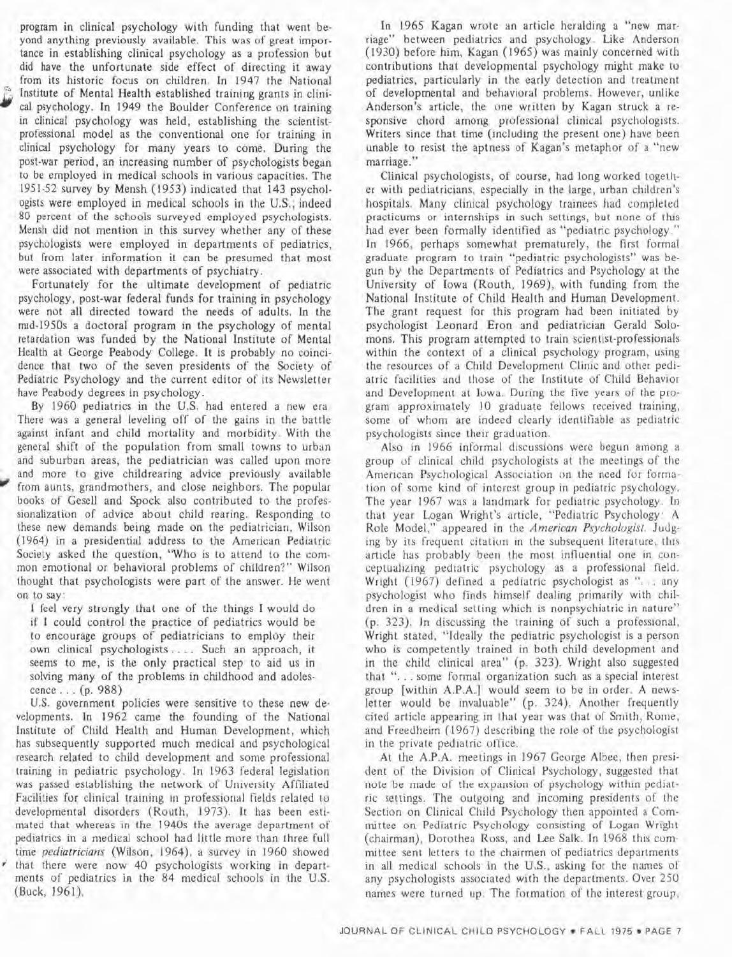program in clinical psychology with funding that went beyond anything previously available. This was of great importance in establishing clinical psychology as a profession but did have the unfortunate side effect of directing it away from its historic focus on children. In 1947 the National Institute of Mental Health established training grants in clinical psychology. In 1949 the Boulder Conference on training in clinical psychology was held, establishing the scientistprofessional model as the conventional one for training in clinical psychology for many years to come. During the post-war period, an increasing number of psychologists began to be employed in medical schools in various capacities. The 1951-52 survey by Mensh (1953) indicated that 143 psychologists were employed in medical schools in the U.S.; indeed 80 percent of the schools surveyed employed psychologists. Mensh did not mention in this survey whether any of these psychologists were employed in departments of pediatrics, but from later information it can be presumed that most were associated with departments of psychiatry.

Fortunately for the ultimate development of pediatric psychology, post-war federal funds for training in psychology were not all directed toward the needs of adults. In the mid-1950s a doctoral program in the psychology of mental retardation was funded by the National Institute of Mental Health at George Peabody College. It is probably no coincidence that two of the seven presidents of the Society of Pediatric Psychology and the current editor of its Newsletter have Peabody degrees in psychology.

By 1960 pediatrics in the U.S. had entered a new era. There was a general leveling off of the gains in the battle against infant and child mortality and morbidity. With the general shift of the population from small towns to urban and suburban areas, the pediatrician was called upon more and more to give childrearing advice previously available from aunts, grandmothers, and close neighbors. The popular books of Gesell and Spock also contributed to the professionalization of advice about child rearing. Responding to these new demands being made on the pediatrician, Wilson (1964) in a presidential address to the American Pediatric Society asked the question, "Who is to attend to the common emotional or behavioral problems of children?" Wilson thought that psychologists were part of the answer. He went on to say:

I feel very strongly that one of the things I would do if I could control the practice of pediatrics would be to encourage groups of pediatricians to employ their own clinical psychologists.. . . Such an approach, it seems to me, is the only practical step to aid us in solving many of the problems in childhood and adolescence . . . (p. 988)

U.S. government policies were sensitive to these new developments. In 1962 came the founding of the National Institute of Child Health and Human Development, which has subsequently supported much medical and psychological research related to child development and some professional training in pediatric psychology. In 1963 federal legislation was passed establishing the network of University Affiliated Facilities for clinical training in professional fields related to developmental disorders (Routh, 1973). It has been estimated that whereas in the 1940s the average department of pediatrics in a medical school had little more than three full time *pediatricians* (Wilson, 1964), a survey in 1960 showed that there were now 40 psychologists working in departments of pediatrics in the 84 medical schools in the U.S. (Buck, 1961).

In 1965 Kagan wrote an article heralding a "new marriage" between pediatrics and psychology. Like Anderson (1930) before him, Kagan (1965) was mainly concerned with contributions that developmental psychology might make to pediatrics, particularly in the early detection and treatment of developmental and behavioral problems. However, unlike Anderson's article, the one written by Kagan struck a responsive chord among professional clinical psychologists. Writers since that time (including the present one) have been unable to resist the aptness of Kagan's metaphor of a "new marriage."

Clinical psychologists, of course, had long worked together with pediatricians, especially in the large, urban children's hospitals. Many clinical psychology trainees had completed practicums or internships in such settings, but none of this had ever been formally identified as "pediatric psychology." In 1966, perhaps somewhat prematurely, the first formal graduate program to train "pediatric psychologists" was begun by the Departments of Pediatrics and Psychology at the University of Iowa (Routh, 1969), with funding from the National Institute of Child Health and Human Development. The grant request for this program had been initiated by psychologist Leonard Eron and pediatrician Gerald Solomons. This program attempted to train scientist-professionals within the context of a clinical psychology program, using the resources of a Child Development Clinic and other pediatric facilities and those of the Institute of Child Behavior and Development at Iowa. During the five years of the program approximately 10 graduate fellows received training, some of whom are indeed clearly identifiable as pediatric psychologists since their graduation.

Also in 1966 informal discussions were begun among a group of clinical child psychologists at the meetings of the American Psychological Association on the need for formation of some kind of interest group in pediatric psychology. The year 1967 was a landmark for pediatric psychology. In that year Logan Wright's article, "Pediatric Psychology: A Role Model," appeared in the American *Psychologisr.* Judging by its frequent citation in the subsequent literature, this article has probably been the most influential one in conceptualizing pediatric psychology as a professional field. Wright (1967) defined a pediatric psychologist as ". . . any psychologist who finds himself dealing primarily with children in a medical setting which is nonpsychiatric in nature" (p. 323). In discussing the training of such a professional, Wright stated, "Ideally the pediatric psychologist is a person who is competently trained in both child development and in the child clinical area" (p. 323). Wright also suggested that ". . . some formal organization such as a special interest group [within A.P.A.] would seem to be in order. A newsletter would be invaluable" (p. 324). Another frequently cited article appearing in that year was that of Smith, Rorne, and Freedheim (1967) describing the role of the psychologist in the private pediatric office.

At the A.P.A. meetings in 1967 George Albee, then president of the Division of Clinical Psychology, suggested that note be made of the expansion of psychology within pediatric settings. The outgoing and incoming presidents of the Section on Clinical Child Psychology then appointed a Committee on Pediatric Psychology consisting of Logan Wright (chairman), Dorothea Ross, and Lee Salk. In 1968 this committee sent letters to the chairmen of pediatrics departments in all medical schools in the U.S., asking for the names of any psychologists associated with the departments. Over 250 names were turned up. The formation of the interest group,